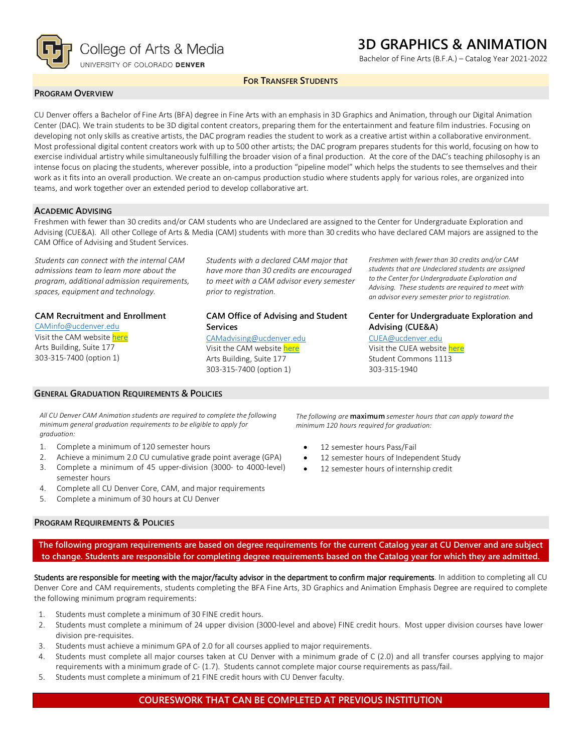

## **3D GRAPHICS & ANIMATION**

Bachelor of Fine Arts (B.F.A.) – Catalog Year 2021-2022

**FOR TRANSFER STUDENTS**

#### **PROGRAM OVERVIEW**

CU Denver offers a Bachelor of Fine Arts (BFA) degree in Fine Arts with an emphasis in 3D Graphics and Animation, through our Digital Animation Center (DAC). We train students to be 3D digital content creators, preparing them for the entertainment and feature film industries. Focusing on developing not only skills as creative artists, the DAC program readies the student to work as a creative artist within a collaborative environment. Most professional digital content creators work with up to 500 other artists; the DAC program prepares students for this world, focusing on how to exercise individual artistry while simultaneously fulfilling the broader vision of a final production. At the core of the DAC's teaching philosophy is an intense focus on placing the students, wherever possible, into a production "pipeline model" which helps the students to see themselves and their work as it fits into an overall production. We create an on-campus production studio where students apply for various roles, are organized into teams, and work together over an extended period to develop collaborative art.

#### **ACADEMIC ADVISING**

Freshmen with fewer than 30 credits and/or CAM students who are Undeclared are assigned to the Center for Undergraduate Exploration and Advising (CUE&A). All other College of Arts & Media (CAM) students with more than 30 credits who have declared CAM majors are assigned to the CAM Office of Advising and Student Services.

*Students can connect with the internal CAM admissions team to learn more about the program, additional admission requirements, spaces, equipment and technology.*

#### **CAM Recruitment and Enrollment**

[CAMinfo@ucdenver.edu](mailto:CAMinfo@ucdenver.edu) Visit the CAM websit[e here](https://artsandmedia.ucdenver.edu/prospective-students/prospective-students) Arts Building, Suite 177 303-315-7400 (option 1)

# *to meet with a CAM advisor every semester prior to registration.*

*Students with a declared CAM major that have more than 30 credits are encouraged* 

#### **CAM Office of Advising and Student Services**

[CAMadvising@ucdenver.edu](mailto:CAMadvising@ucdenver.edu) Visit the CAM websit[e here](https://artsandmedia.ucdenver.edu/current-students/about-academic-advising) Arts Building, Suite 177 303-315-7400 (option 1)

*Freshmen with fewer than 30 credits and/or CAM students that are Undeclared students are assigned to the Center for Undergraduate Exploration and Advising. These students are required to meet with an advisor every semester prior to registration.*

#### **Center for Undergraduate Exploration and Advising (CUE&A)**

[CUEA@ucdenver.edu](mailto:CUEA@ucdenver.edu) Visit the CUEA website [here](https://www.ucdenver.edu/center-for-undergraduate-exploration-and-advising) Student Commons 1113 303-315-1940

*All CU Denver CAM Animation students are required to complete the following minimum general graduation requirements to be eligible to apply for graduation:*

1. Complete a minimum of 120 semester hours

**GENERAL GRADUATION REQUIREMENTS & POLICIES**

- 2. Achieve a minimum 2.0 CU cumulative grade point average (GPA)
- 3. Complete a minimum of 45 upper-division (3000- to 4000-level) semester hours
- 4. Complete all CU Denver Core, CAM, and major requirements
- 5. Complete a minimum of 30 hours at CU Denver

#### **PROGRAM REQUIREMENTS & POLICIES**

*The following are* **maximum** *semester hours that can apply toward the minimum 120 hours required for graduation:*

- 12 semester hours Pass/Fail
- 12 semester hours of Independent Study
- 12 semester hours of internship credit

**The following program requirements are based on degree requirements for the current Catalog year at CU Denver and are subject to change. Students are responsible for completing degree requirements based on the Catalog year for which they are admitted.**

Students are responsible for meeting with the major/faculty advisor in the department to confirm major requirements. In addition to completing all CU Denver Core and CAM requirements, students completing the BFA Fine Arts, 3D Graphics and Animation Emphasis Degree are required to complete the following minimum program requirements:

- 1. Students must complete a minimum of 30 FINE credit hours.
- 2. Students must complete a minimum of 24 upper division (3000-level and above) FINE credit hours. Most upper division courses have lower division pre-requisites.
- 3. Students must achieve a minimum GPA of 2.0 for all courses applied to major requirements.
- 4. Students must complete all major courses taken at CU Denver with a minimum grade of C (2.0) and all transfer courses applying to major requirements with a minimum grade of C- (1.7). Students cannot complete major course requirements as pass/fail.
- 5. Students must complete a minimum of 21 FINE credit hours with CU Denver faculty.

#### **COURESWORK THAT CAN BE COMPLETED AT PREVIOUS INSTITUTION**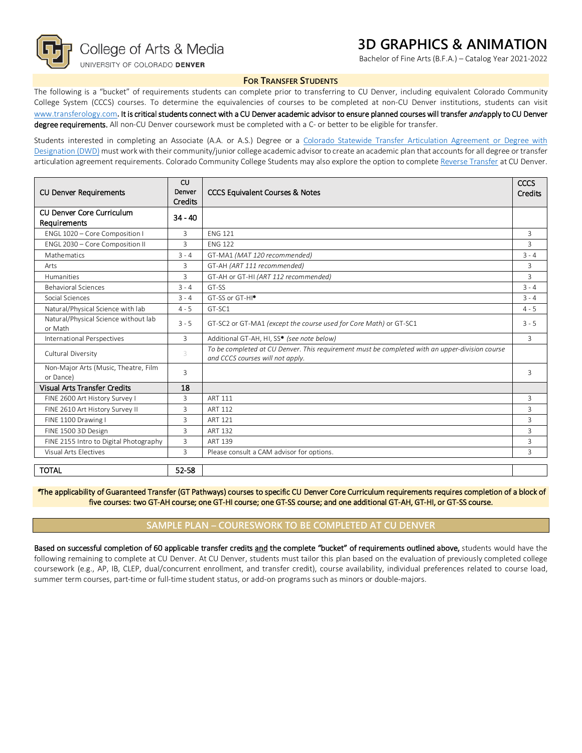

### **3D GRAPHICS & ANIMATION**

Bachelor of Fine Arts (B.F.A.) – Catalog Year 2021-2022

#### **FOR TRANSFER STUDENTS**

The following is a "bucket" of requirements students can complete prior to transferring to CU Denver, including equivalent Colorado Community College System (CCCS) courses. To determine the equivalencies of courses to be completed at non-CU Denver institutions, students can visit [www.transferology.com](http://www.transferology.com/)**.** It is critical students connect with a CU Denver academic advisor to ensure planned courses will transfer and apply to CU Denver degree requirements. All non-CU Denver coursework must be completed with a C- or better to be eligible for transfer.

Students interested in completing an Associate (A.A. or A.S.) Degree or a Colorado Statewide Transfer Articulation Agreement or Degree with [Designation \(DWD\)](https://highered.colorado.gov/Academics/Transfers/TransferDegrees.html) must work with their community/junior college academic advisor to create an academic plan that accounts for all degree or transfer articulation agreement requirements. Colorado Community College Students may also explore the option to complet[e Reverse Transfer](https://degreewithinreach.wordpress.com/) at CU Denver.

| <b>CU Denver Requirements</b>                          | <b>CU</b><br>Denver<br>Credits | <b>CCCS Equivalent Courses &amp; Notes</b>                                                                                         |   |
|--------------------------------------------------------|--------------------------------|------------------------------------------------------------------------------------------------------------------------------------|---|
| CU Denver Core Curriculum<br>$34 - 40$<br>Requirements |                                |                                                                                                                                    |   |
| ENGL 1020 - Core Composition I                         | 3                              | <b>FNG 121</b>                                                                                                                     |   |
| ENGL 2030 - Core Composition II                        | 3                              | <b>FNG 122</b>                                                                                                                     |   |
| Mathematics                                            | $3 - 4$                        | GT-MA1 (MAT 120 recommended)                                                                                                       |   |
| Arts                                                   | 3                              | GT-AH (ART 111 recommended)                                                                                                        |   |
| <b>Humanities</b>                                      | 3                              | GT-AH or GT-HI (ART 112 recommended)                                                                                               |   |
| <b>Behavioral Sciences</b>                             | $3 - 4$                        | GT-SS                                                                                                                              |   |
| Social Sciences                                        | $3 - 4$                        | GT-SS or GT-HI <sup>*</sup>                                                                                                        |   |
| Natural/Physical Science with lab                      | $4 - 5$                        | GT-SC1                                                                                                                             |   |
| Natural/Physical Science without lab<br>or Math        | $3 - 5$                        | GT-SC2 or GT-MA1 (except the course used for Core Math) or GT-SC1                                                                  |   |
| International Perspectives                             | 3                              | Additional GT-AH, HI, SS* (see note below)                                                                                         |   |
| Cultural Diversity                                     | 3                              | To be completed at CU Denver. This requirement must be completed with an upper-division course<br>and CCCS courses will not apply. |   |
| Non-Major Arts (Music, Theatre, Film<br>or Dance)      | 3                              |                                                                                                                                    |   |
| <b>Visual Arts Transfer Credits</b>                    | 18                             |                                                                                                                                    |   |
| FINE 2600 Art History Survey I                         | 3                              | <b>ART 111</b>                                                                                                                     | 3 |
| FINE 2610 Art History Survey II                        | 3                              | <b>ART 112</b>                                                                                                                     | 3 |
| FINE 1100 Drawing I                                    | 3                              | ART 121                                                                                                                            | 3 |
| FINE 1500 3D Design                                    | 3                              | <b>ART 132</b>                                                                                                                     |   |
| FINE 2155 Intro to Digital Photography                 | 3                              | <b>ART 139</b>                                                                                                                     | 3 |
| Visual Arts Electives                                  | 3                              | Please consult a CAM advisor for options.                                                                                          |   |
| <b>TOTAL</b>                                           | 52-58                          |                                                                                                                                    |   |

\*The applicability of Guaranteed Transfer (GT Pathways) courses to specific CU Denver Core Curriculum requirements requires completion of a block of five courses: two GT-AH course; one GT-HI course; one GT-SS course; and one additional GT-AH, GT-HI, or GT-SS course.

#### **SAMPLE PLAN – COURESWORK TO BE COMPLETED AT CU DENVER**

Based on successful completion of 60 applicable transfer credits and the complete "bucket" of requirements outlined above, students would have the following remaining to complete at CU Denver. At CU Denver, students must tailor this plan based on the evaluation of previously completed college coursework (e.g., AP, IB, CLEP, dual/concurrent enrollment, and transfer credit), course availability, individual preferences related to course load, summer term courses, part-time or full-time student status, or add-on programs such as minors or double-majors.